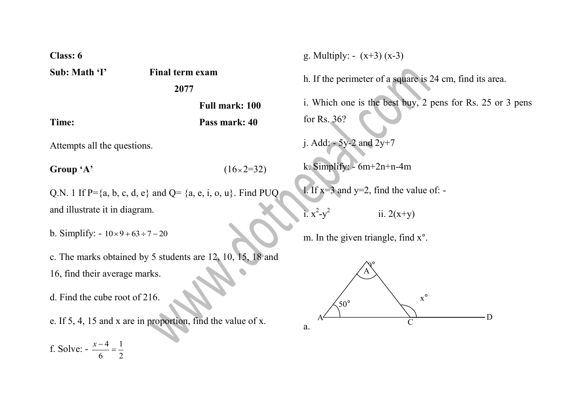**Class: 6** 

**Sub: Math 'I' Final term exam**

## **2077**

**Full mark: 100 Time: Pass mark: 40**

 $\times 2 = 32$ 

Attempts all the questions.

Group 'A'

Q.N. 1 If P= $\{a, b, c, d, e\}$  and Q=  $\{a, e, i, o, u\}$ . Find PUQ and illustrate it in diagram.

b. Simplify:  $-10\times9+63 \div 7-20$ 

c. The marks obtained by 5 students are 12, 10, 15, 18 and 16, find their average marks.

d. Find the cube root of 216.

e. If 5, 4, 15 and x are in proportion, find the value of x.

f. Solve: - 2 1 6  $\frac{x-4}{x-4}$ 

g. Multiply:  $- (x+3) (x-3)$ 

h. If the perimeter of a square is 24 cm, find its area.

i. Which one is the best buy, 2 pens for Rs. 25 or 3 pens for Rs. 36?

j. Add:  $-5y-2$  and  $2y+7$ 

k. Simplify: - 6m+2n+n-4m

1. If  $x=3$  and  $y=2$ , find the value of: -

i.  $x^2-y^2$ ii.  $2(x+y)$ 

m. In the given triangle, find x°.

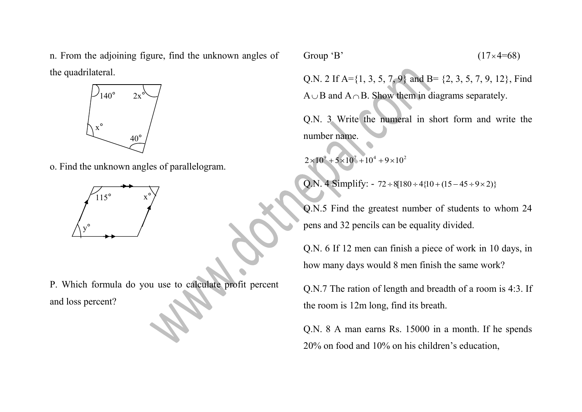n. From the adjoining figure, find the unknown angles of the quadrilateral.



o. Find the unknown angles of parallelogram.



P. Which formula do you use to calculate profit percent and loss percent?

Group 'B'

$$
(17\times4=68)
$$

Q.N. 2 If A={1, 3, 5, 7, 9} and B= {2, 3, 5, 7, 9, 12}, Find  $A \cup B$  and  $A \cap B$ . Show them in diagrams separately.

Q.N. 3 Write the numeral in short form and write the number name.

 $2\times10^{9} + 5\times10^{7} + 10^{4} + 9\times10^{2}$ 

Q.N. 4 Simplify: -  $72 \div 8[180 \div 4{10} + (15 - 45 \div 9 \times 2)]$ 

Q.N.5 Find the greatest number of students to whom 24 pens and 32 pencils can be equality divided.

Q.N. 6 If 12 men can finish a piece of work in 10 days, in how many days would 8 men finish the same work?

Q.N.7 The ration of length and breadth of a room is 4:3. If the room is 12m long, find its breath.

Q.N. 8 A man earns Rs. 15000 in a month. If he spends 20% on food and 10% on his children's education,